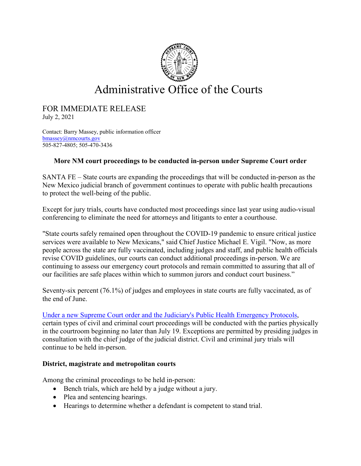

## Administrative Office of the Courts

# FOR IMMEDIATE RELEASE July 2, 2021

Contact: Barry Massey, public information officer [bmassey@nmcourts.gov](mailto:bmassey@nmcourts.gov) 505-827-4805; 505-470-3436

### **More NM court proceedings to be conducted in-person under Supreme Court order**

SANTA FE – State courts are expanding the proceedings that will be conducted in-person as the New Mexico judicial branch of government continues to operate with public health precautions to protect the well-being of the public.

Except for jury trials, courts have conducted most proceedings since last year using audio-visual conferencing to eliminate the need for attorneys and litigants to enter a courthouse.

"State courts safely remained open throughout the COVID-19 pandemic to ensure critical justice services were available to New Mexicans," said Chief Justice Michael E. Vigil. "Now, as more people across the state are fully vaccinated, including judges and staff, and public health officials revise COVID guidelines, our courts can conduct additional proceedings in-person. We are continuing to assess our emergency court protocols and remain committed to assuring that all of our facilities are safe places within which to summon jurors and conduct court business."

Seventy-six percent (76.1%) of judges and employees in state courts are fully vaccinated, as of the end of June.

### [Under a new Supreme Court order and the Judiciary's Public Health Emergency Protocols,](https://www.nmcourts.gov/wp-content/uploads/2021/06/Order-No_-21-8500-015-and-Amended-PHE-Protocols-29-Jun-21.pdf)

certain types of civil and criminal court proceedings will be conducted with the parties physically in the courtroom beginning no later than July 19. Exceptions are permitted by presiding judges in consultation with the chief judge of the judicial district. Civil and criminal jury trials will continue to be held in-person.

### **District, magistrate and metropolitan courts**

Among the criminal proceedings to be held in-person:

- Bench trials, which are held by a judge without a jury.
- Plea and sentencing hearings.
- Hearings to determine whether a defendant is competent to stand trial.